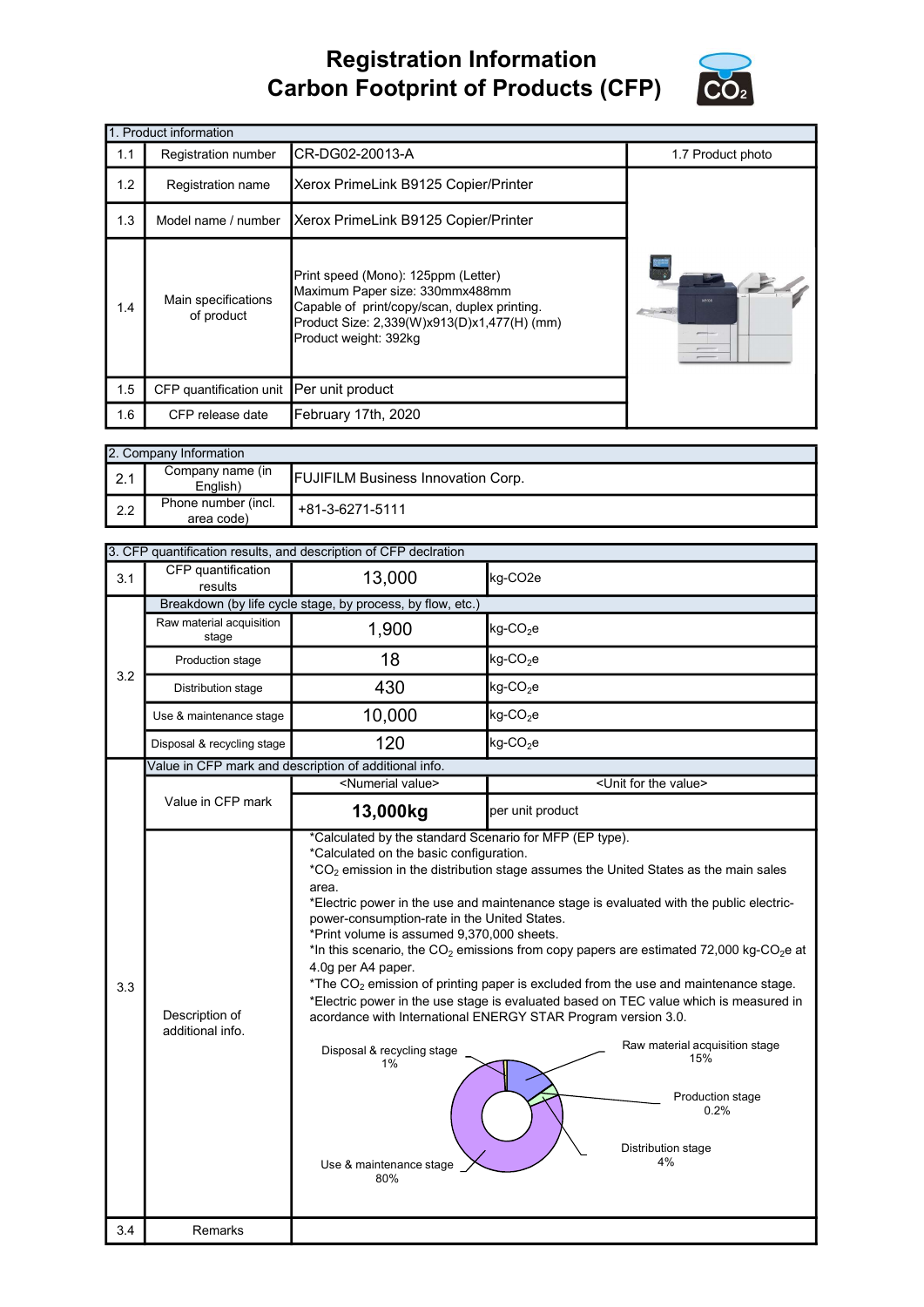## Registration Information Carbon Footprint of Products (CFP)



|     | 1. Product information                                                                                                                                                                                                              |                                      |                       |  |  |  |
|-----|-------------------------------------------------------------------------------------------------------------------------------------------------------------------------------------------------------------------------------------|--------------------------------------|-----------------------|--|--|--|
| 1.1 | Registration number                                                                                                                                                                                                                 | CR-DG02-20013-A                      | 1.7 Product photo     |  |  |  |
| 1.2 | Registration name                                                                                                                                                                                                                   | Xerox PrimeLink B9125 Copier/Printer |                       |  |  |  |
| 1.3 | Model name / number                                                                                                                                                                                                                 | Xerox PrimeLink B9125 Copier/Printer |                       |  |  |  |
| 1.4 | Print speed (Mono): 125ppm (Letter)<br>Maximum Paper size: 330mmx488mm<br>Main specifications<br>Capable of print/copy/scan, duplex printing.<br>of product<br>Product Size: 2,339(W)x913(D)x1,477(H) (mm)<br>Product weight: 392kg |                                      | seros<br><b>China</b> |  |  |  |
| 1.5 | CFP quantification unit                                                                                                                                                                                                             | Per unit product                     |                       |  |  |  |
| 1.6 | CFP release date                                                                                                                                                                                                                    | February 17th, 2020                  |                       |  |  |  |

|        | 2. Company Information                                                    |                 |  |  |  |
|--------|---------------------------------------------------------------------------|-----------------|--|--|--|
| $\sim$ | Company name (in<br><b>FUJIFILM Business Innovation Corp.</b><br>English) |                 |  |  |  |
| 2.2    | Phone number (incl.<br>area code)                                         | +81-3-6271-5111 |  |  |  |

|     | 3. CFP quantification results, and description of CFP declration |                                                                                                                                                                                                                                            |                                                                                                                                                                                                                                                                                                                                                                                                                                                                                                                                                                                                                                                         |  |  |  |  |
|-----|------------------------------------------------------------------|--------------------------------------------------------------------------------------------------------------------------------------------------------------------------------------------------------------------------------------------|---------------------------------------------------------------------------------------------------------------------------------------------------------------------------------------------------------------------------------------------------------------------------------------------------------------------------------------------------------------------------------------------------------------------------------------------------------------------------------------------------------------------------------------------------------------------------------------------------------------------------------------------------------|--|--|--|--|
| 3.1 | CFP quantification<br>results                                    | 13,000                                                                                                                                                                                                                                     | kg-CO2e                                                                                                                                                                                                                                                                                                                                                                                                                                                                                                                                                                                                                                                 |  |  |  |  |
|     | Breakdown (by life cycle stage, by process, by flow, etc.)       |                                                                                                                                                                                                                                            |                                                                                                                                                                                                                                                                                                                                                                                                                                                                                                                                                                                                                                                         |  |  |  |  |
|     | Raw material acquisition<br>stage                                | 1,900                                                                                                                                                                                                                                      | $kg$ -CO <sub>2</sub> e                                                                                                                                                                                                                                                                                                                                                                                                                                                                                                                                                                                                                                 |  |  |  |  |
| 3.2 | Production stage                                                 | 18                                                                                                                                                                                                                                         | $kg$ -CO <sub>2</sub> e                                                                                                                                                                                                                                                                                                                                                                                                                                                                                                                                                                                                                                 |  |  |  |  |
|     | Distribution stage                                               | 430                                                                                                                                                                                                                                        | $kg$ -CO <sub>2</sub> e                                                                                                                                                                                                                                                                                                                                                                                                                                                                                                                                                                                                                                 |  |  |  |  |
|     | Use & maintenance stage                                          | 10,000                                                                                                                                                                                                                                     | $kg$ -CO <sub>2</sub> e                                                                                                                                                                                                                                                                                                                                                                                                                                                                                                                                                                                                                                 |  |  |  |  |
|     | Disposal & recycling stage                                       | 120                                                                                                                                                                                                                                        | kg-CO <sub>2</sub> e                                                                                                                                                                                                                                                                                                                                                                                                                                                                                                                                                                                                                                    |  |  |  |  |
|     |                                                                  | Value in CFP mark and description of additional info.                                                                                                                                                                                      |                                                                                                                                                                                                                                                                                                                                                                                                                                                                                                                                                                                                                                                         |  |  |  |  |
|     |                                                                  | <numerial value=""></numerial>                                                                                                                                                                                                             | <unit for="" the="" value=""></unit>                                                                                                                                                                                                                                                                                                                                                                                                                                                                                                                                                                                                                    |  |  |  |  |
|     | Value in CFP mark                                                | 13,000kg                                                                                                                                                                                                                                   | per unit product                                                                                                                                                                                                                                                                                                                                                                                                                                                                                                                                                                                                                                        |  |  |  |  |
| 3.3 | Description of<br>additional info.                               | *Calculated on the basic configuration.<br>area.<br>power-consumption-rate in the United States.<br>*Print volume is assumed 9,370,000 sheets.<br>4.0g per A4 paper.<br>Disposal & recycling stage<br>1%<br>Use & maintenance stage<br>80% | *CO <sub>2</sub> emission in the distribution stage assumes the United States as the main sales<br>*Electric power in the use and maintenance stage is evaluated with the public electric-<br>*In this scenario, the $CO_2$ emissions from copy papers are estimated 72,000 kg-CO <sub>2</sub> e at<br>*The $CO2$ emission of printing paper is excluded from the use and maintenance stage.<br>*Electric power in the use stage is evaluated based on TEC value which is measured in<br>acordance with International ENERGY STAR Program version 3.0.<br>Raw material acquisition stage<br>15%<br>Production stage<br>0.2%<br>Distribution stage<br>4% |  |  |  |  |
| 3.4 | <b>Remarks</b>                                                   |                                                                                                                                                                                                                                            |                                                                                                                                                                                                                                                                                                                                                                                                                                                                                                                                                                                                                                                         |  |  |  |  |